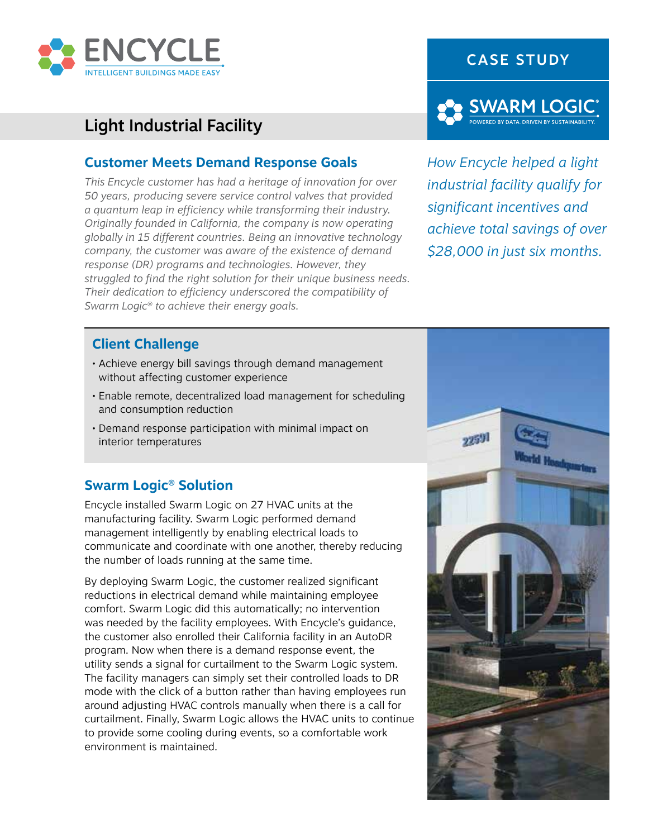

# Light Industrial Facility

### **Customer Meets Demand Response Goals**

*This Encycle customer has had a heritage of innovation for over 50 years, producing severe service control valves that provided a quantum leap in efficiency while transforming their industry. Originally founded in California, the company is now operating globally in 15 different countries. Being an innovative technology company, the customer was aware of the existence of demand response (DR) programs and technologies. However, they struggled to find the right solution for their unique business needs. Their dedication to efficiency underscored the compatibility of Swarm Logic® to achieve their energy goals.*





*How Encycle helped a light industrial facility qualify for significant incentives and achieve total savings of over \$28,000 in just six months.*

## **Client Challenge**

- Achieve energy bill savings through demand management without affecting customer experience
- Enable remote, decentralized load management for scheduling and consumption reduction
- Demand response participation with minimal impact on interior temperatures

### **Swarm Logic® Solution**

Encycle installed Swarm Logic on 27 HVAC units at the manufacturing facility. Swarm Logic performed demand management intelligently by enabling electrical loads to communicate and coordinate with one another, thereby reducing the number of loads running at the same time.

By deploying Swarm Logic, the customer realized significant reductions in electrical demand while maintaining employee comfort. Swarm Logic did this automatically; no intervention was needed by the facility employees. With Encycle's guidance, the customer also enrolled their California facility in an AutoDR program. Now when there is a demand response event, the utility sends a signal for curtailment to the Swarm Logic system. The facility managers can simply set their controlled loads to DR mode with the click of a button rather than having employees run around adjusting HVAC controls manually when there is a call for curtailment. Finally, Swarm Logic allows the HVAC units to continue to provide some cooling during events, so a comfortable work environment is maintained.